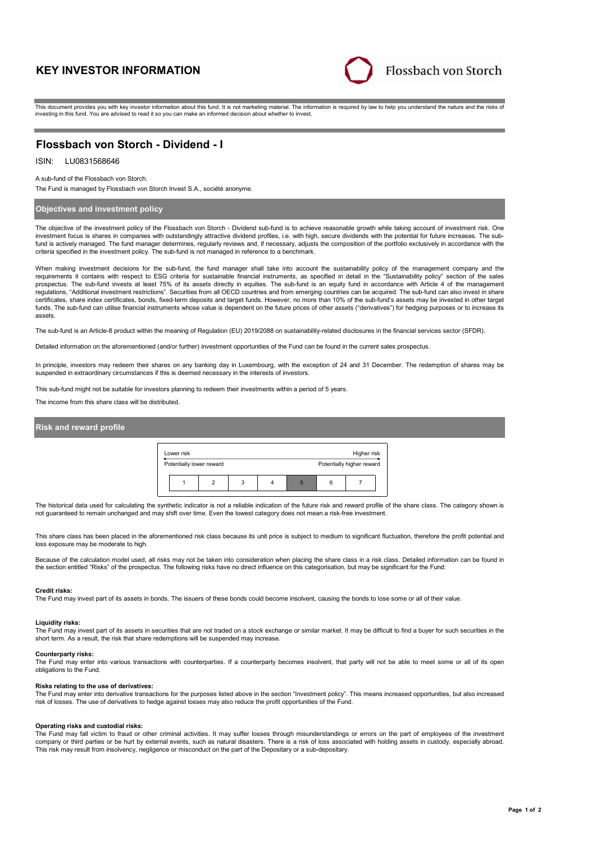# **KEY INVESTOR INFORMATION**



This document provides you with key investor information about this fund. It is not marketing material. The information is required by law to help you understand the nature and the risks of investing in this fund. You are advised to read it so you can make an informed decision about whether to invest.

# **Flossbach von Storch - Dividend - I**

## ISIN: LU0831568646

A sub-fund of the Flossbach von Storch.

The Fund is managed by Flossbach von Storch Invest S.A., société anonyme.

### **Objectives and investment policy**

The objective of the investment policy of the Flossbach von Storch - Dividend sub-fund is to achieve reasonable growth while taking account of investment risk. One investment focus is shares in companies with outstandingly attractive dividend profiles, i.e. with high, secure dividends with the potential for future increases. The subfund is actively managed. The fund manager determines, regularly reviews and, if necessary, adjusts the composition of the portfolio exclusively in accordance with the criteria specified in the investment policy. The sub-fund is not managed in reference to a benchmark.

When making investment decisions for the sub-fund, the fund manager shall take into account the sustainability policy of the management company and the requirements it contains with respect to ESG criteria for sustainable financial instruments, as specified in detail in the "Sustainability policy" section of the sales<br>prospectus. The sub-fund invests at least 75% of its a regulations, "Additional investment restrictions". Securities from all OECD countries and from emerging countries can be acquired. The sub-fund can also invest in share certificates, share index certificates, bonds, fixed-term deposits and target funds. However, no more than 10% of the sub-fund's assets may be invested in other target funds. The sub-fund can utilise financial instruments whose value is dependent on the future prices of other assets ("derivatives") for hedging purposes or to increase its assets.

The sub-fund is an Article-8 product within the meaning of Regulation (EU) 2019/2088 on sustainability-related disclosures in the financial services sector (SFDR).

Detailed information on the aforementioned (and/or further) investment opportunities of the Fund can be found in the current sales prospectus.

In principle, investors may redeem their shares on any banking day in Luxembourg, with the exception of 24 and 31 December. The redemption of shares may be suspended in extraordinary circumstances if this is deemed necessary in the interests of investors.

This sub-fund might not be suitable for investors planning to redeem their investments within a period of 5 years.

The income from this share class will be distributed.

### **Risk and reward profile**

| Lower risk               |   |   |   | Higher risk               |
|--------------------------|---|---|---|---------------------------|
| Potentially lower reward |   |   |   | Potentially higher reward |
|                          | 3 | h | 6 |                           |

The historical data used for calculating the synthetic indicator is not a reliable indication of the future risk and reward profile of the share class. The category shown is not guaranteed to remain unchanged and may shift over time. Even the lowest category does not mean a risk-free investment.

This share class has been placed in the aforementioned risk class because its unit price is subject to medium to significant fluctuation, therefore the profit potential and loss exposure may be moderate to high.

Because of the calculation model used, all risks may not be taken into consideration when placing the share class in a risk class. Detailed information can be found in the section entitled "Risks" of the prospectus. The following risks have no direct influence on this categorisation, but may be significant for the Fund:

#### **Credit risks:**

The Fund may invest part of its assets in bonds. The issuers of these bonds could become insolvent, causing the bonds to lose some or all of their value.

#### **Liquidity risks:**

The Fund may invest part of its assets in securities that are not traded on a stock exchange or similar market. It may be difficult to find a buyer for such securities in the short term. As a result, the risk that share redemptions will be suspended may increase.

#### **Counterparty risks:**

The Fund may enter into various transactions with counterparties. If a counterparty becomes insolvent, that party will not be able to meet some or all of its open obligations to the Fund.

#### **Risks relating to the use of derivatives:**

The Fund may enter into derivative transactions for the purposes listed above in the section "Investment policy". This means increased opportunities, but also increased risk of losses. The use of derivatives to hedge against losses may also reduce the profit opportunities of the Fund.

#### **Operating risks and custodial risks:**

The Fund may fall victim to fraud or other criminal activities. It may suffer losses through misunderstandings or errors on the part of employees of the investment company or third parties or be hurt by external events, such as natural disasters. There is a risk of loss associated with holding assets in custody, especially abroad. This risk may result from insolvency, negligence or misconduct on the part of the Depositary or a sub-depositary.